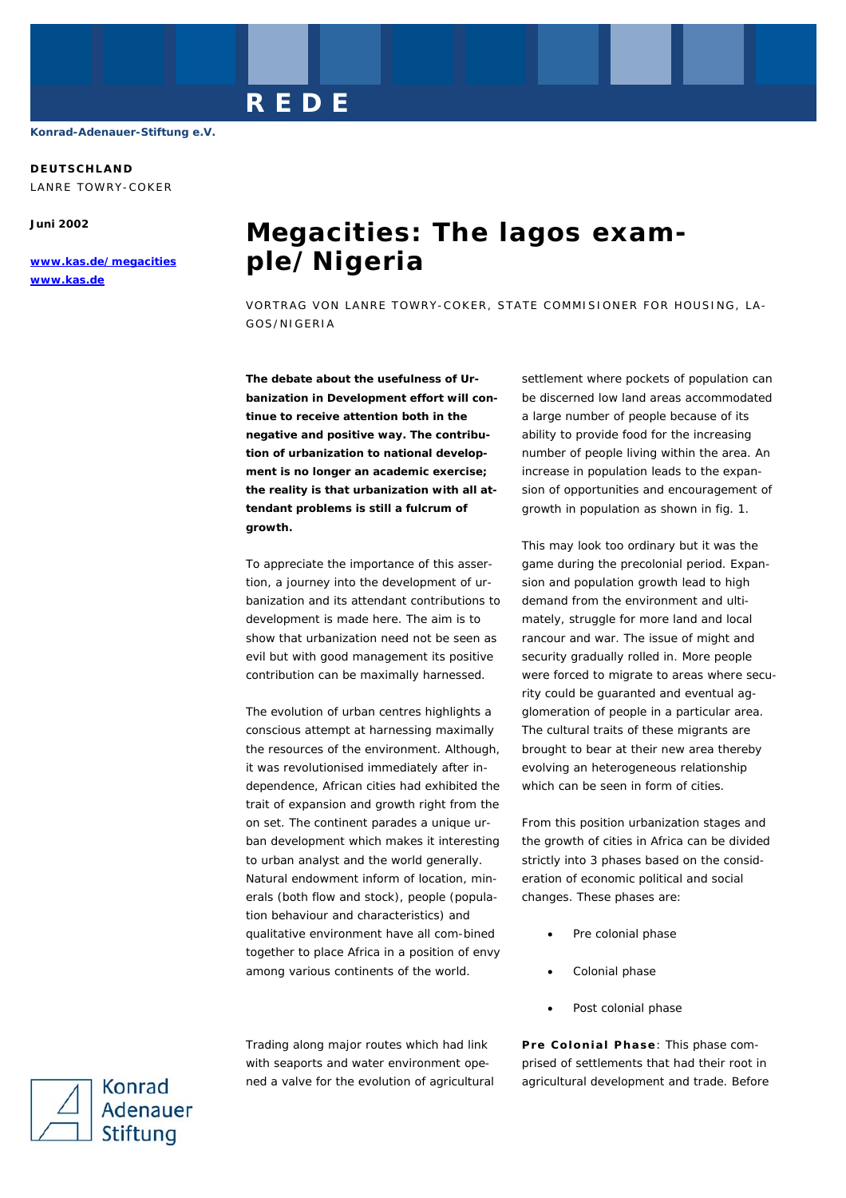# **DEUTSCHLAND**

LANRE TOWRY-COKER

**Juni 2002** 

**www.kas.de/megacities www.kas.de**

# **Megacities: The lagos example/Nigeria**

VORTRAG VON LANRE TOWRY-COKER, STATE COMMISIONER FOR HOUSING, LA-GOS/NIGERIA

**The debate about the usefulness of Urbanization in Development effort will continue to receive attention both in the negative and positive way. The contribution of urbanization to national development is no longer an academic exercise; the reality is that urbanization with all attendant problems is still a fulcrum of growth.** 

**REDE** 

To appreciate the importance of this assertion, a journey into the development of urbanization and its attendant contributions to development is made here. The aim is to show that urbanization need not be seen as evil but with good management its positive contribution can be maximally harnessed.

The evolution of urban centres highlights a conscious attempt at harnessing maximally the resources of the environment. Although, it was revolutionised immediately after independence, African cities had exhibited the trait of expansion and growth right from the on set. The continent parades a unique urban development which makes it interesting to urban analyst and the world generally. Natural endowment inform of location, minerals (both flow and stock), people (population behaviour and characteristics) and qualitative environment have all com-bined together to place Africa in a position of envy among various continents of the world.

Trading along major routes which had link with seaports and water environment opened a valve for the evolution of agricultural settlement where pockets of population can be discerned low land areas accommodated a large number of people because of its ability to provide food for the increasing number of people living within the area. An increase in population leads to the expansion of opportunities and encouragement of growth in population as shown in fig. 1.

This may look too ordinary but it was the game during the precolonial period. Expansion and population growth lead to high demand from the environment and ultimately, struggle for more land and local rancour and war. The issue of might and security gradually rolled in. More people were forced to migrate to areas where security could be guaranted and eventual agglomeration of people in a particular area. The cultural traits of these migrants are brought to bear at their new area thereby evolving an heterogeneous relationship which can be seen in form of cities.

From this position urbanization stages and the growth of cities in Africa can be divided strictly into 3 phases based on the consideration of economic political and social changes. These phases are:

- Pre colonial phase
- Colonial phase
- Post colonial phase

**Pre Colonial Phase**: This phase comprised of settlements that had their root in agricultural development and trade. Before

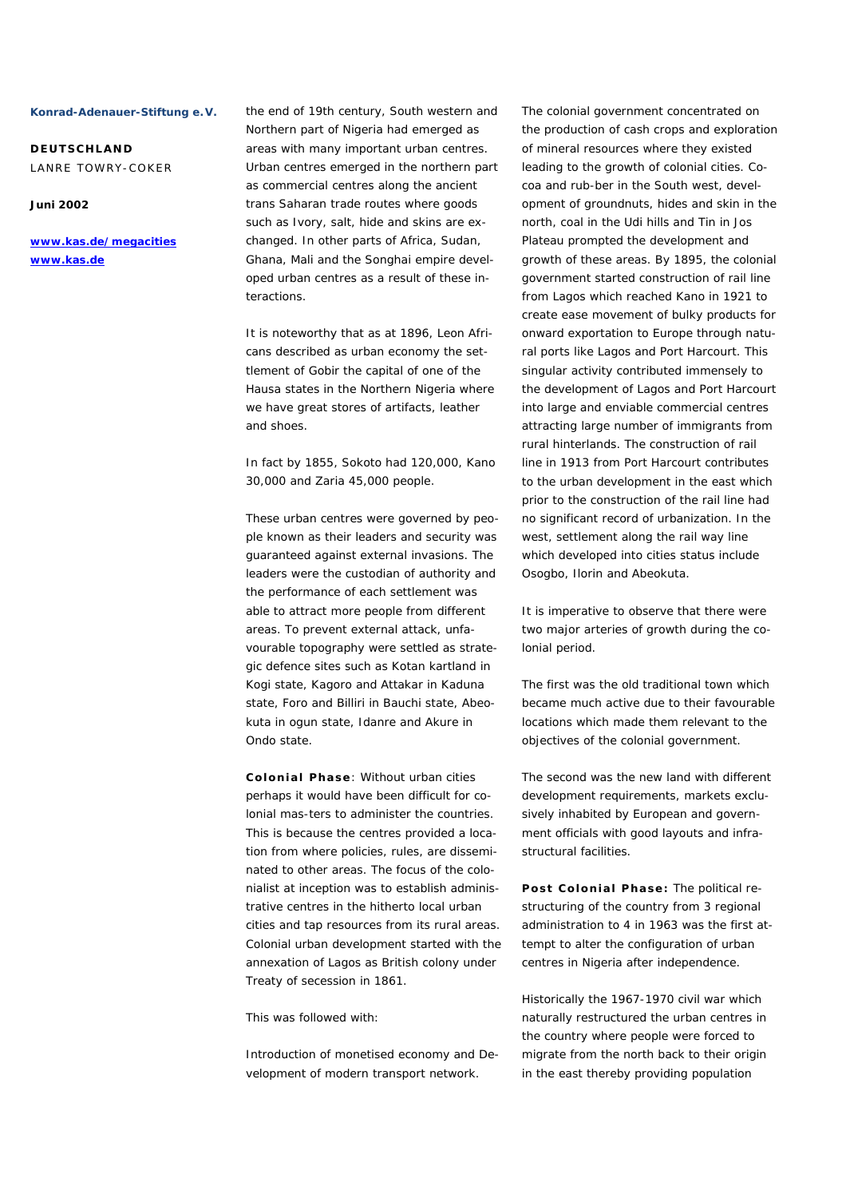**DEUTSCHLAND**  LANRE TOWRY-COKER

**Juni 2002** 

**www.kas.de/megacities www.kas.de**

the end of 19th century, South western and Northern part of Nigeria had emerged as areas with many important urban centres. Urban centres emerged in the northern part as commercial centres along the ancient trans Saharan trade routes where goods such as Ivory, salt, hide and skins are exchanged. In other parts of Africa, Sudan, Ghana, Mali and the Songhai empire developed urban centres as a result of these interactions.

It is noteworthy that as at 1896, Leon Africans described as urban economy the settlement of Gobir the capital of one of the Hausa states in the Northern Nigeria where we have great stores of artifacts, leather and shoes.

In fact by 1855, Sokoto had 120,000, Kano 30,000 and Zaria 45,000 people.

These urban centres were governed by people known as their leaders and security was guaranteed against external invasions. The leaders were the custodian of authority and the performance of each settlement was able to attract more people from different areas. To prevent external attack, unfavourable topography were settled as strategic defence sites such as Kotan kartland in Kogi state, Kagoro and Attakar in Kaduna state, Foro and Billiri in Bauchi state, Abeokuta in ogun state, Idanre and Akure in Ondo state.

**Colonial Phase**: Without urban cities perhaps it would have been difficult for colonial mas-ters to administer the countries. This is because the centres provided a location from where policies, rules, are disseminated to other areas. The focus of the colonialist at inception was to establish administrative centres in the hitherto local urban cities and tap resources from its rural areas. Colonial urban development started with the annexation of Lagos as British colony under Treaty of secession in 1861.

This was followed with:

*Introduction of monetised economy and Development of modern transport network.* 

The colonial government concentrated on the production of cash crops and exploration of mineral resources where they existed leading to the growth of colonial cities. Cocoa and rub-ber in the South west, development of groundnuts, hides and skin in the north, coal in the Udi hills and Tin in Jos Plateau prompted the development and growth of these areas. By 1895, the colonial government started construction of rail line from Lagos which reached Kano in 1921 to create ease movement of bulky products for onward exportation to Europe through natural ports like Lagos and Port Harcourt. This singular activity contributed immensely to the development of Lagos and Port Harcourt into large and enviable commercial centres attracting large number of immigrants from rural hinterlands. The construction of rail line in 1913 from Port Harcourt contributes to the urban development in the east which prior to the construction of the rail line had no significant record of urbanization. In the west, settlement along the rail way line which developed into cities status include Osogbo, Ilorin and Abeokuta.

It is imperative to observe that there were two major arteries of growth during the colonial period.

The first was the old traditional town which became much active due to their favourable locations which made them relevant to the objectives of the colonial government.

The second was the new land with different development requirements, markets exclusively inhabited by European and government officials with good layouts and infrastructural facilities.

**Post Colonial Phase:** The political restructuring of the country from 3 regional administration to 4 in 1963 was the first attempt to alter the configuration of urban centres in Nigeria after independence.

Historically the 1967-1970 civil war which naturally restructured the urban centres in the country where people were forced to migrate from the north back to their origin in the east thereby providing population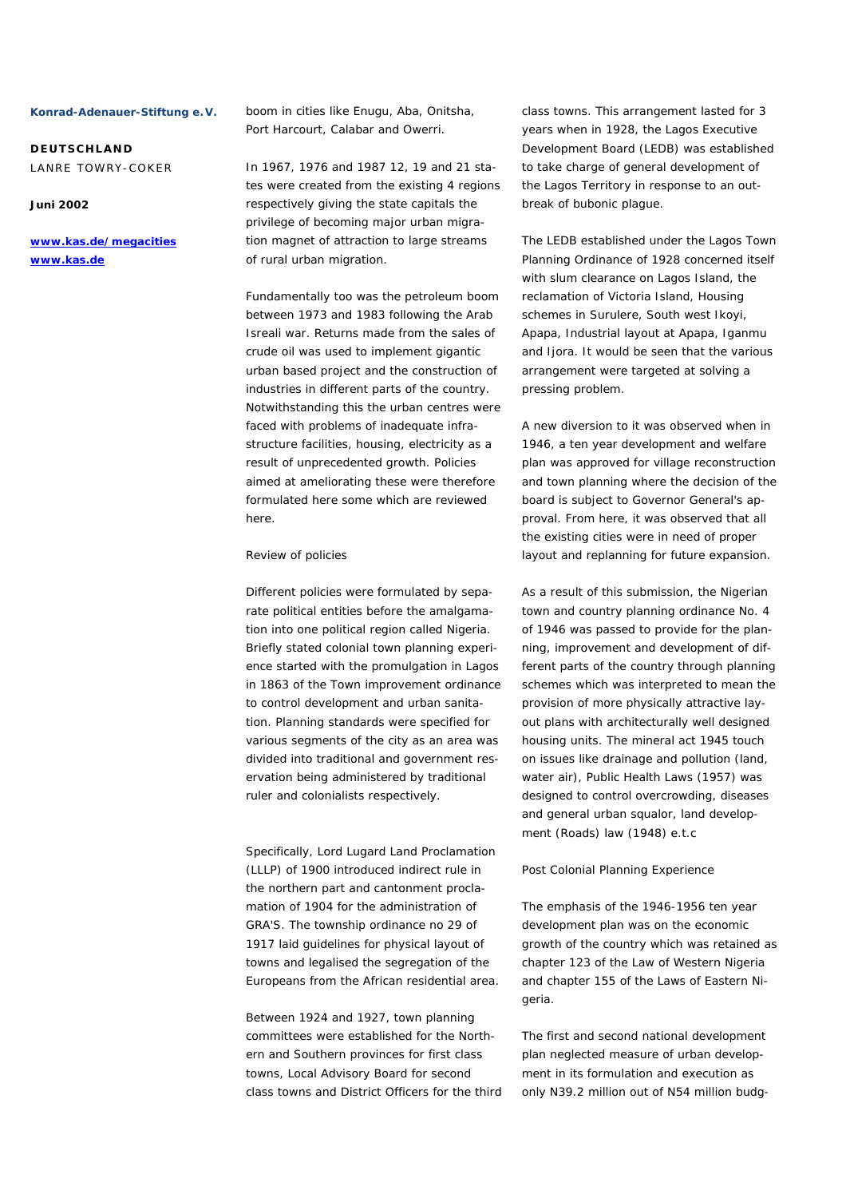**DEUTSCHLAND**  LANRE TOWRY-COKER

## **Juni 2002**

**www.kas.de/megacities www.kas.de**

boom in cities like Enugu, Aba, Onitsha, Port Harcourt, Calabar and Owerri.

In 1967, 1976 and 1987 12, 19 and 21 states were created from the existing 4 regions respectively giving the state capitals the privilege of becoming major urban migration magnet of attraction to large streams of rural urban migration.

Fundamentally too was the petroleum boom between 1973 and 1983 following the Arab Isreali war. Returns made from the sales of crude oil was used to implement gigantic urban based project and the construction of industries in different parts of the country. Notwithstanding this the urban centres were faced with problems of inadequate infrastructure facilities, housing, electricity as a result of unprecedented growth. Policies aimed at ameliorating these were therefore formulated here some which are reviewed here.

### *Review of policies*

Different policies were formulated by separate political entities before the amalgamation into one political region called Nigeria. Briefly stated colonial town planning experience started with the promulgation in Lagos in 1863 of the Town improvement ordinance to control development and urban sanitation. Planning standards were specified for various segments of the city as an area was divided into traditional and government reservation being administered by traditional ruler and colonialists respectively.

Specifically, Lord Lugard Land Proclamation (LLLP) of 1900 introduced indirect rule in the northern part and cantonment proclamation of 1904 for the administration of GRA'S. The township ordinance no 29 of 1917 laid guidelines for physical layout of towns and legalised the segregation of the Europeans from the African residential area.

Between 1924 and 1927, town planning committees were established for the Northern and Southern provinces for first class towns, Local Advisory Board for second class towns and District Officers for the third class towns. This arrangement lasted for 3 years when in 1928, the Lagos Executive Development Board (LEDB) was established to take charge of general development of the Lagos Territory in response to an outbreak of bubonic plague.

The LEDB established under the Lagos Town Planning Ordinance of 1928 concerned itself with slum clearance on Lagos Island, the reclamation of Victoria Island, Housing schemes in Surulere, South west Ikoyi, Apapa, Industrial layout at Apapa, Iganmu and Ijora. It would be seen that the various arrangement were targeted at solving a pressing problem.

A new diversion to it was observed when in 1946, a ten year development and welfare plan was approved for village reconstruction and town planning where the decision of the board is subject to Governor General's approval. From here, it was observed that all the existing cities were in need of proper layout and replanning for future expansion.

As a result of this submission, the Nigerian town and country planning ordinance No. 4 of 1946 was passed to provide for the planning, improvement and development of different parts of the country through planning schemes which was interpreted to mean the provision of more physically attractive layout plans with architecturally well designed housing units. The mineral act 1945 touch on issues like drainage and pollution (land, water air), Public Health Laws (1957) was designed to control overcrowding, diseases and general urban squalor, land development (Roads) law (1948) e.t.c

### *Post Colonial Planning Experience*

The emphasis of the 1946-1956 ten year development plan was on the economic growth of the country which was retained as chapter 123 of the Law of Western Nigeria and chapter 155 of the Laws of Eastern Nigeria.

The first and second national development plan neglected measure of urban development in its formulation and execution as only N39.2 million out of N54 million budg-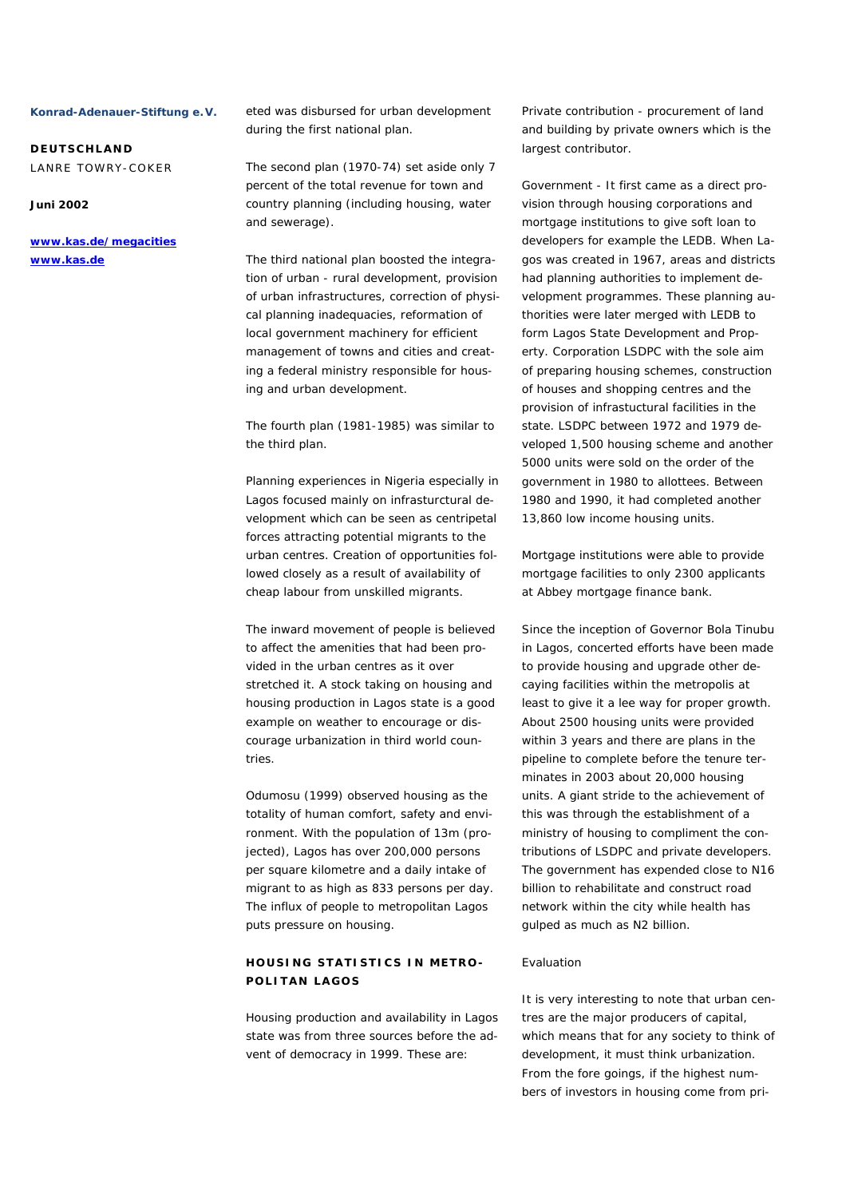**DEUTSCHLAND**  LANRE TOWRY-COKER

# **Juni 2002**

# **www.kas.de/megacities www.kas.de**

eted was disbursed for urban development during the first national plan.

The second plan (1970-74) set aside only 7 percent of the total revenue for town and country planning (including housing, water and sewerage).

The third national plan boosted the integration of urban - rural development, provision of urban infrastructures, correction of physical planning inadequacies, reformation of local government machinery for efficient management of towns and cities and creating a federal ministry responsible for housing and urban development.

The fourth plan (1981-1985) was similar to the third plan.

Planning experiences in Nigeria especially in Lagos focused mainly on infrasturctural development which can be seen as centripetal forces attracting potential migrants to the urban centres. Creation of opportunities followed closely as a result of availability of cheap labour from unskilled migrants.

The inward movement of people is believed to affect the amenities that had been provided in the urban centres as it over stretched it. A stock taking on housing and housing production in Lagos state is a good example on weather to encourage or discourage urbanization in third world countries.

Odumosu (1999) observed housing as the totality of human comfort, safety and environment. With the population of 13m (projected), Lagos has over 200,000 persons per square kilometre and a daily intake of migrant to as high as 833 persons per day. The influx of people to metropolitan Lagos puts pressure on housing.

# **HOUSING STATISTICS IN METRO-POLITAN LAGOS**

Housing production and availability in Lagos state was from three sources before the advent of democracy in 1999. These are:

Private contribution - procurement of land and building by private owners which is the largest contributor.

Government - It first came as a direct provision through housing corporations and mortgage institutions to give soft loan to developers for example the LEDB. When Lagos was created in 1967, areas and districts had planning authorities to implement development programmes. These planning authorities were later merged with LEDB to form Lagos State Development and Property. Corporation LSDPC with the sole aim of preparing housing schemes, construction of houses and shopping centres and the provision of infrastuctural facilities in the state. LSDPC between 1972 and 1979 developed 1,500 housing scheme and another 5000 units were sold on the order of the government in 1980 to allottees. Between 1980 and 1990, it had completed another 13,860 low income housing units.

Mortgage institutions were able to provide mortgage facilities to only 2300 applicants at Abbey mortgage finance bank.

Since the inception of Governor Bola Tinubu in Lagos, concerted efforts have been made to provide housing and upgrade other decaying facilities within the metropolis at least to give it a lee way for proper growth. About 2500 housing units were provided within 3 years and there are plans in the pipeline to complete before the tenure terminates in 2003 about 20,000 housing units. A giant stride to the achievement of this was through the establishment of a ministry of housing to compliment the contributions of LSDPC and private developers. The government has expended close to N16 billion to rehabilitate and construct road network within the city while health has gulped as much as N2 billion.

### *Evaluation*

It is very interesting to note that urban centres are the major producers of capital, which means that for any society to think of development, it must think urbanization. From the fore goings, if the highest numbers of investors in housing come from pri-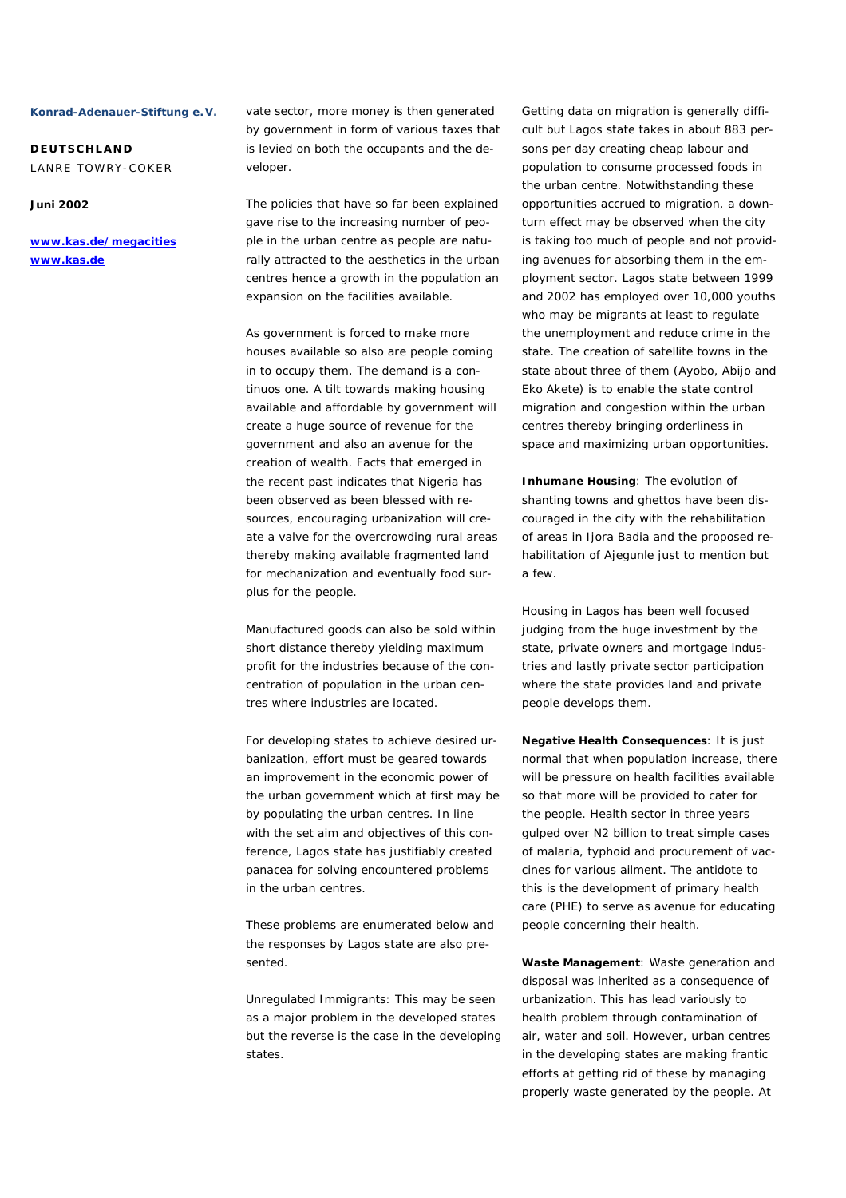**DEUTSCHLAND**  LANRE TOWRY-COKER

### **Juni 2002**

**www.kas.de/megacities www.kas.de**

vate sector, more money is then generated by government in form of various taxes that is levied on both the occupants and the developer.

The policies that have so far been explained gave rise to the increasing number of people in the urban centre as people are naturally attracted to the aesthetics in the urban centres hence a growth in the population an expansion on the facilities available.

As government is forced to make more houses available so also are people coming in to occupy them. The demand is a continuos one. A tilt towards making housing available and affordable by government will create a huge source of revenue for the government and also an avenue for the creation of wealth. Facts that emerged in the recent past indicates that Nigeria has been observed as been blessed with resources, encouraging urbanization will create a valve for the overcrowding rural areas thereby making available fragmented land for mechanization and eventually food surplus for the people.

Manufactured goods can also be sold within short distance thereby yielding maximum profit for the industries because of the concentration of population in the urban centres where industries are located.

For developing states to achieve desired urbanization, effort must be geared towards an improvement in the economic power of the urban government which at first may be by populating the urban centres. In line with the set aim and objectives of this conference, Lagos state has justifiably created panacea for solving encountered problems in the urban centres.

These problems are enumerated below and the responses by Lagos state are also presented.

Unregulated Immigrants: This may be seen as a major problem in the developed states but the reverse is the case in the developing states.

Getting data on migration is generally difficult but Lagos state takes in about 883 persons per day creating cheap labour and population to consume processed foods in the urban centre. Notwithstanding these opportunities accrued to migration, a downturn effect may be observed when the city is taking too much of people and not providing avenues for absorbing them in the employment sector. Lagos state between 1999 and 2002 has employed over 10,000 youths who may be migrants at least to regulate the unemployment and reduce crime in the state. The creation of satellite towns in the state about three of them (Ayobo, Abijo and Eko Akete) is to enable the state control migration and congestion within the urban centres thereby bringing orderliness in space and maximizing urban opportunities.

**Inhumane Housing**: The evolution of shanting towns and ghettos have been discouraged in the city with the rehabilitation of areas in Ijora Badia and the proposed rehabilitation of Ajegunle just to mention but a few.

Housing in Lagos has been well focused judging from the huge investment by the state, private owners and mortgage industries and lastly private sector participation where the state provides land and private people develops them.

**Negative Health Consequences**: It is just normal that when population increase, there will be pressure on health facilities available so that more will be provided to cater for the people. Health sector in three years gulped over N2 billion to treat simple cases of malaria, typhoid and procurement of vaccines for various ailment. The antidote to this is the development of primary health care (PHE) to serve as avenue for educating people concerning their health.

**Waste Management**: Waste generation and disposal was inherited as a consequence of urbanization. This has lead variously to health problem through contamination of air, water and soil. However, urban centres in the developing states are making frantic efforts at getting rid of these by managing properly waste generated by the people. At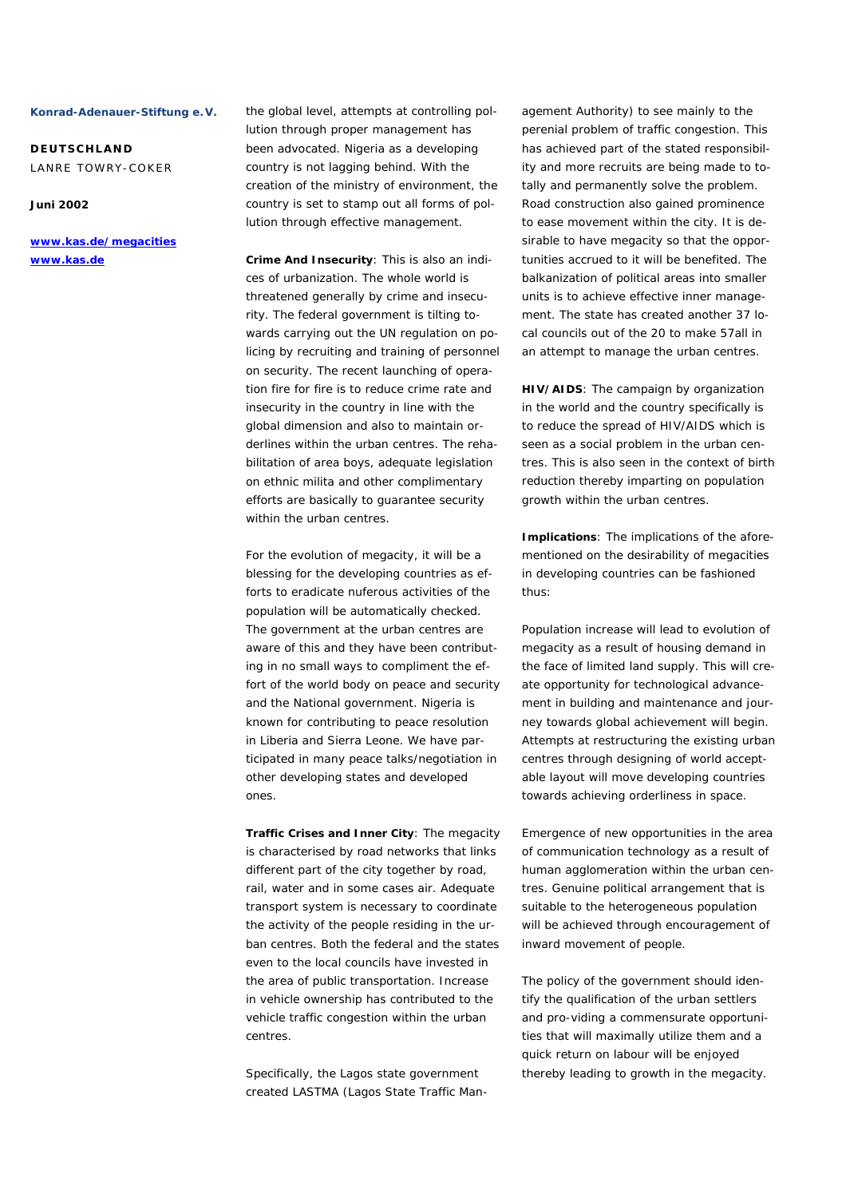**DEUTSCHLAND**  LANRE TOWRY-COKER

# **Juni 2002**

**www.kas.de/megacities www.kas.de**

the global level, attempts at controlling pollution through proper management has been advocated. Nigeria as a developing country is not lagging behind. With the creation of the ministry of environment, the country is set to stamp out all forms of pollution through effective management.

**Crime And Insecurity**: This is also an indices of urbanization. The whole world is threatened generally by crime and insecurity. The federal government is tilting towards carrying out the UN regulation on policing by recruiting and training of personnel on security. The recent launching of operation fire for fire is to reduce crime rate and insecurity in the country in line with the global dimension and also to maintain orderlines within the urban centres. The rehabilitation of area boys, adequate legislation on ethnic milita and other complimentary efforts are basically to guarantee security within the urban centres.

For the evolution of megacity, it will be a blessing for the developing countries as efforts to eradicate nuferous activities of the population will be automatically checked. The government at the urban centres are aware of this and they have been contributing in no small ways to compliment the effort of the world body on peace and security and the National government. Nigeria is known for contributing to peace resolution in Liberia and Sierra Leone. We have participated in many peace talks/negotiation in other developing states and developed ones.

**Traffic Crises and Inner City**: The megacity is characterised by road networks that links different part of the city together by road, rail, water and in some cases air. Adequate transport system is necessary to coordinate the activity of the people residing in the urban centres. Both the federal and the states even to the local councils have invested in the area of public transportation. Increase in vehicle ownership has contributed to the vehicle traffic congestion within the urban centres.

Specifically, the Lagos state government created LASTMA (Lagos State Traffic Management Authority) to see mainly to the perenial problem of traffic congestion. This has achieved part of the stated responsibility and more recruits are being made to totally and permanently solve the problem. Road construction also gained prominence to ease movement within the city. It is desirable to have megacity so that the opportunities accrued to it will be benefited. The balkanization of political areas into smaller units is to achieve effective inner management. The state has created another 37 local councils out of the 20 to make 57all in an attempt to manage the urban centres.

6

**HIV/AIDS**: The campaign by organization in the world and the country specifically is to reduce the spread of HIV/AIDS which is seen as a social problem in the urban centres. This is also seen in the context of birth reduction thereby imparting on population growth within the urban centres.

**Implications**: The implications of the aforementioned on the desirability of megacities in developing countries can be fashioned thus:

Population increase will lead to evolution of megacity as a result of housing demand in the face of limited land supply. This will create opportunity for technological advancement in building and maintenance and journey towards global achievement will begin. Attempts at restructuring the existing urban centres through designing of world acceptable layout will move developing countries towards achieving orderliness in space.

Emergence of new opportunities in the area of communication technology as a result of human agglomeration within the urban centres. Genuine political arrangement that is suitable to the heterogeneous population will be achieved through encouragement of inward movement of people.

The policy of the government should identify the qualification of the urban settlers and pro-viding a commensurate opportunities that will maximally utilize them and a quick return on labour will be enjoyed thereby leading to growth in the megacity.